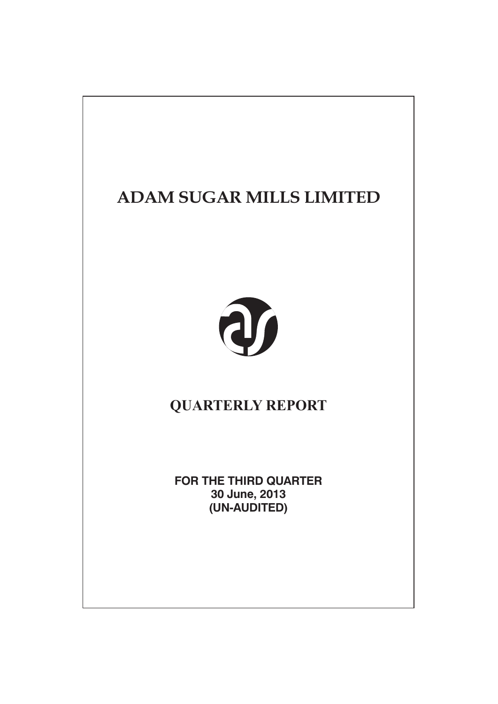# **ADAM SUGAR MILLS LIMITED**



# **QUARTERLY REPORT**

**FOR THE THIRD QUARTER** 30 June, 2013 (UN-AUDITED)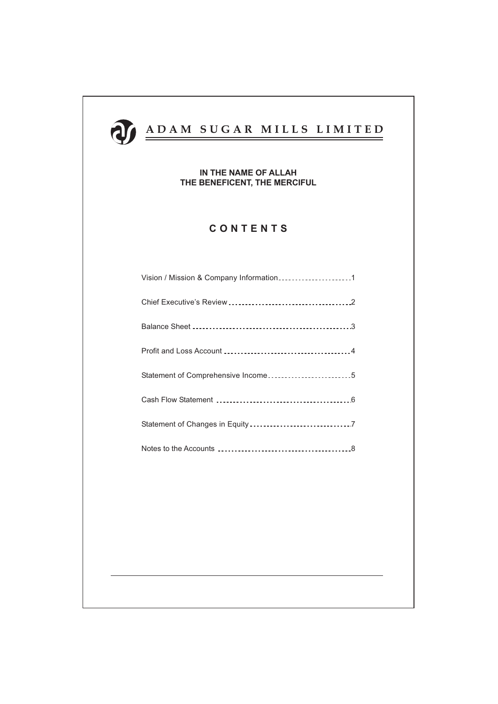

# IN THE NAME OF ALLAH THE BENEFICENT, THE MERCIFUL

# CONTENTS

| Vision / Mission & Company Information1 |  |
|-----------------------------------------|--|
|                                         |  |
|                                         |  |
|                                         |  |
| Statement of Comprehensive Income5      |  |
|                                         |  |
|                                         |  |
|                                         |  |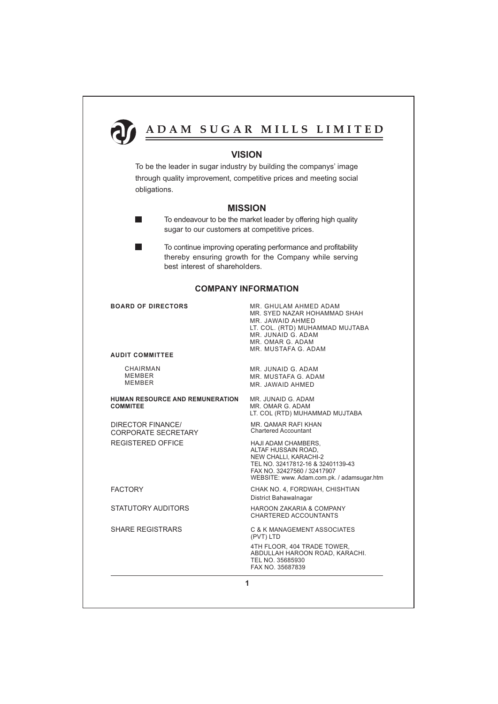

# **VISION**

To be the leader in sugar industry by building the companys' image through quality improvement, competitive prices and meeting social obligations.

# **MISSION**

- To endeavour to be the market leader by offering high quality sugar to our customers at competitive prices.
- ٠ To continue improving operating performance and profitability thereby ensuring growth for the Company while serving best interest of shareholders.

# **COMPANY INFORMATION**

### **BOARD OF DIRECTORS**

 $\blacksquare$ 

### **AUDIT COMMITTEE**

CHAIRMAN **MEMBER MEMBER** 

### HUMAN RESOURCE AND REMUNERATION **COMMITEE**

**DIRECTOR FINANCE/ CORPORATE SECRETARY REGISTERED OFFICE** 

**FACTORY** 

**STATUTORY AUDITORS** 

**SHARF REGISTRARS** 

MR GHUI AM AHMED ADAM MR. SYED NAZAR HOHAMMAD SHAH MR. JAWAID AHMED LT. COL. (RTD) MUHAMMAD MUJTABA MR. JUNAID G. ADAM MR. OMAR G. ADAM MR. MUSTAFA G. ADAM

MR. JUNAID G. ADAM MR. MUSTAFA G. ADAM MR JAWAID AHMED

MR. JUNAID G. ADAM MR. OMAR G. ADAM LT. COL (RTD) MUHAMMAD MUJTABA

MR. QAMAR RAFI KHAN **Chartered Accountant** 

HAJI ADAM CHAMBERS. ALTAF HUSSAIN ROAD, NEW CHALLI, KARACHI-2 TEL NO. 32417812-16 & 32401139-43 FAX NO. 32427560 / 32417907 WEBSITE: www. Adam.com.pk. / adamsugar.htm

CHAK NO. 4, FORDWAH, CHISHTIAN District Bahawalnagar

**HAROON ZAKARIA & COMPANY** CHARTERED ACCOUNTANTS

**C & K MANAGEMENT ASSOCIATES** (PVT) LTD 4TH FLOOR, 404 TRADE TOWER, ABDULLAH HAROON ROAD, KARACHI. TEL NO. 35685930 FAX NO 35687839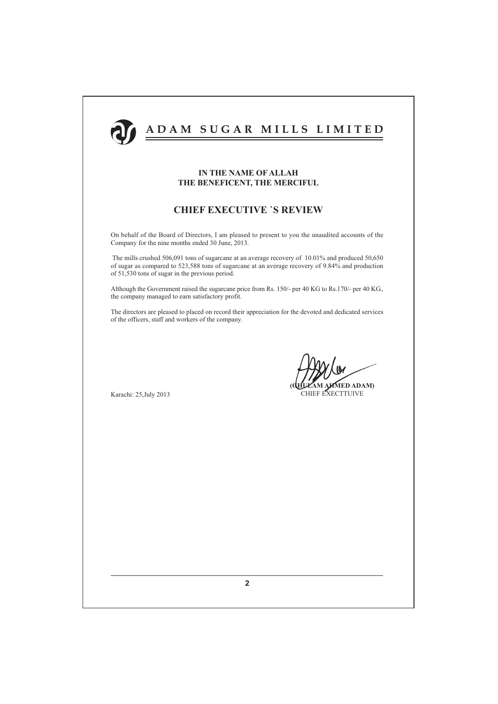

# **IN THE NAME OF ALLAH** THE BENEFICENT, THE MERCIFUL

# **CHIEF EXECUTIVE 'S REVIEW**

On behalf of the Board of Directors, I am pleased to present to you the unaudited accounts of the Company for the nine months ended 30 June, 2013.

The mills crushed 506,091 tons of sugarcane at an average recovery of 10.01% and produced 50,650 of sugar as compared to 523,588 tons of sugarcane at an average recovery of 9.84% and production of 51,530 tons of sugar in the previous period.

Although the Government raised the sugarcane price from Rs. 150/- per 40 KG to Rs. 170/- per 40 KG, the company managed to earn satisfactory profit.

The directors are pleased to placed on record their appreciation for the devoted and dedicated services of the officers, staff and workers of the company.

Karachi: 25, July 2013

MED ADAM) CHIEF EXECTTUIVE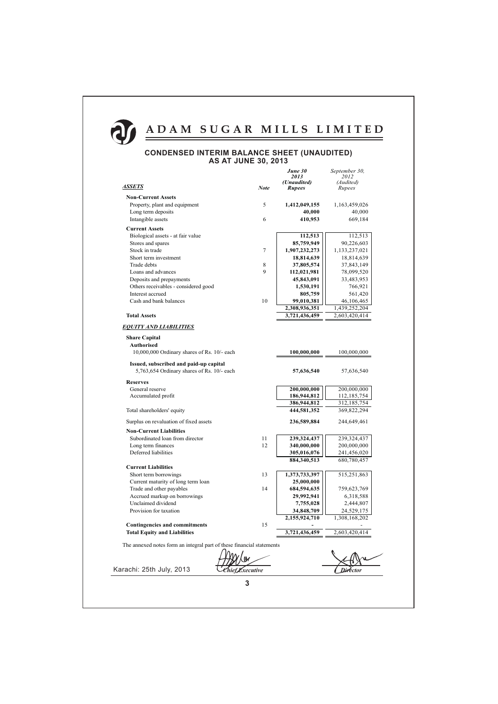

## **CONDENSED INTERIM BALANCE SHEET (UNAUDITED) AS AT JUNE 30, 2013**

|                                                                |                | June 30<br>2013            | September 30,<br>2012        |
|----------------------------------------------------------------|----------------|----------------------------|------------------------------|
|                                                                |                | (Unaudited)                | (Audited)                    |
| <b>ASSETS</b>                                                  | <b>Note</b>    | <b>Rupees</b>              | Rupees                       |
| <b>Non-Current Assets</b>                                      |                |                            |                              |
| Property, plant and equipment                                  | 5              | 1,412,049,155              | 1,163,459,026                |
| Long term deposits                                             |                | 40,000                     | 40,000                       |
| Intangible assets                                              | 6              | 410,953                    | 669,184                      |
| <b>Current Assets</b>                                          |                |                            |                              |
| Biological assets - at fair value                              |                | 112,513                    | 112,513                      |
| Stores and spares                                              |                | 85,759,949                 | 90,226,603                   |
| Stock in trade                                                 | $\overline{7}$ | 1,907,232,273              | 1,133,237,021                |
| Short term investment                                          |                | 18,814,639                 | 18,814,639                   |
| Trade debts                                                    | 8              | 37,805,574                 | 37,843,149                   |
| Loans and advances                                             | 9              | 112,021,981                | 78,099,520                   |
| Deposits and prepayments                                       |                | 45,843,091                 | 33,483,953                   |
| Others receivables - considered good                           |                | 1,530,191                  | 766,921                      |
| Interest accrued                                               |                | 805,759                    | 561,420                      |
| Cash and bank balances                                         | 10             | 99,010,381                 | 46,106,465                   |
|                                                                |                | 2,308,936,351              | 1,439,252,204                |
| <b>Total Assets</b>                                            |                | 3,721,436,459              | 2,603,420,414                |
| <b>EQUITY AND LIABILITIES</b>                                  |                |                            |                              |
| <b>Share Capital</b>                                           |                |                            |                              |
| <b>Authorised</b>                                              |                |                            |                              |
| 10,000,000 Ordinary shares of Rs. 10/- each                    |                | 100,000,000                | 100,000,000                  |
| Issued, subscribed and paid-up capital                         |                |                            |                              |
| 5,763,654 Ordinary shares of Rs. 10/- each                     |                | 57,636,540                 | 57,636,540                   |
|                                                                |                |                            |                              |
| <b>Reserves</b>                                                |                |                            |                              |
| General reserve                                                |                | 200,000,000                | 200,000,000                  |
| Accumulated profit                                             |                | 186,944,812                | 112,185,754                  |
| Total shareholders' equity                                     |                | 386,944,812<br>444,581,352 | 312, 185, 754<br>369,822,294 |
|                                                                |                |                            |                              |
| Surplus on revaluation of fixed assets                         |                | 236,589,884                | 244,649,461                  |
| <b>Non-Current Liabilities</b>                                 |                |                            |                              |
| Subordinated loan from director                                | 11             | 239,324,437                | 239,324,437                  |
| Long term finances                                             | 12             | 340,000,000                | 200,000,000                  |
| Deferred liabilities                                           |                | 305,016,076                | 241,456,020                  |
|                                                                |                | 884,340,513                | 680,780,457                  |
| <b>Current Liabilities</b>                                     |                |                            |                              |
| Short term borrowings                                          | 13             | 1,373,733,397              | 515,251,863                  |
| Current maturity of long term loan<br>Trade and other payables | 14             | 25,000,000                 |                              |
| Accrued markup on borrowings                                   |                | 684,594,635<br>29,992,941  | 759,623,769                  |
| Unclaimed dividend                                             |                | 7,755,028                  | 6,318,588<br>2,444,807       |
| Provision for taxation                                         |                | 34,848,709                 | 24,529,175                   |
|                                                                |                | 2,155,924,710              | 1,308,168,202                |
| <b>Contingencies and commitments</b>                           | 15             |                            |                              |
| <b>Total Equity and Liabilities</b>                            |                | 3,721,436,459              | 2,603,420,414                |
|                                                                |                |                            |                              |

The annexed notes form an integral part of these financial statements

Chief Executive

Karachi: 25th July, 2013

**Director**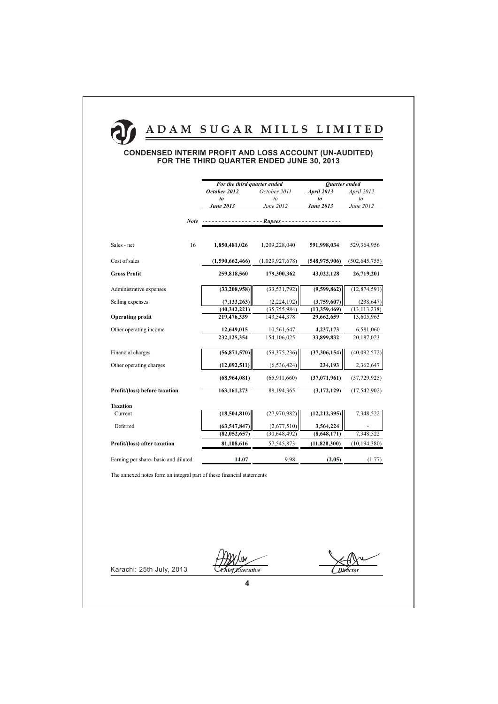## **CONDENSED INTERIM PROFIT AND LOSS ACCOUNT (UN-AUDITED)** FOR THE THIRD QUARTER ENDED JUNE 30, 2013

|                                      |             | For the third quarter ended |                 | Quarter ended     |                 |
|--------------------------------------|-------------|-----------------------------|-----------------|-------------------|-----------------|
|                                      |             | October 2012                | October 2011    | <b>April 2013</b> | April 2012      |
|                                      |             | to                          | to              | to                | to              |
|                                      |             | <b>June 2013</b>            | June 2012       | <b>June 2013</b>  | June 2012       |
|                                      | <b>Note</b> |                             | - Rupees -      |                   |                 |
|                                      |             |                             |                 |                   |                 |
| Sales - net                          | 16          | 1,850,481,026               | 1,209,228,040   | 591,998,034       | 529,364,956     |
| Cost of sales                        |             | (1,590,662,466)             | (1,029,927,678) | (548, 975, 906)   | (502, 645, 755) |
| <b>Gross Profit</b>                  |             | 259,818,560                 | 179,300,362     | 43,022,128        | 26,719,201      |
| Administrative expenses              |             | (33, 208, 958)              | (33, 531, 792)  | (9,599,862)       | (12, 874, 591)  |
| Selling expenses                     |             | (7, 133, 263)               | (2,224,192)     | (3,759,607)       | (238, 647)      |
|                                      |             | (40,342,221)                | (35,755,984)    | (13,359,469)      | (13, 113, 238)  |
| <b>Operating profit</b>              |             | 219,476,339                 | 143,544,378     | 29,662,659        | 13,605,963      |
| Other operating income               |             | 12,649,015                  | 10,561,647      | 4,237,173         | 6,581,060       |
|                                      |             | 232,125,354                 | 154,106,025     | 33,899,832        | 20,187,023      |
| Financial charges                    |             | (56,871,570)                | (59, 375, 236)  | (37, 306, 154)    | (40,092,572)    |
| Other operating charges              |             | (12,092,511)                | (6, 536, 424)   | 234,193           | 2,362,647       |
|                                      |             | (68,964,081)                | (65,911,660)    | (37,071,961)      | (37, 729, 925)  |
| Profit/(loss) before taxation        |             | 163, 161, 273               | 88,194,365      | (3,172,129)       | (17, 542, 902)  |
| <b>Taxation</b>                      |             |                             |                 |                   |                 |
| Current                              |             | (18, 504, 810)              | (27,970,982)    | (12, 212, 395)    | 7,348,522       |
| Deferred                             |             | (63, 547, 847)              | (2,677,510)     | 3,564,224         |                 |
|                                      |             | (82,052,657)                | (30, 648, 492)  | (8,648,171)       | 7,348,522       |
| Profit/(loss) after taxation         |             | 81,108,616                  | 57, 545, 873    | (11,820,300)      | (10, 194, 380)  |
| Earning per share- basic and diluted |             | 14.07                       | 9.98            | (2.05)            | (1.77)          |

The annexed notes form an integral part of these financial statements

Chief Executive

**Director**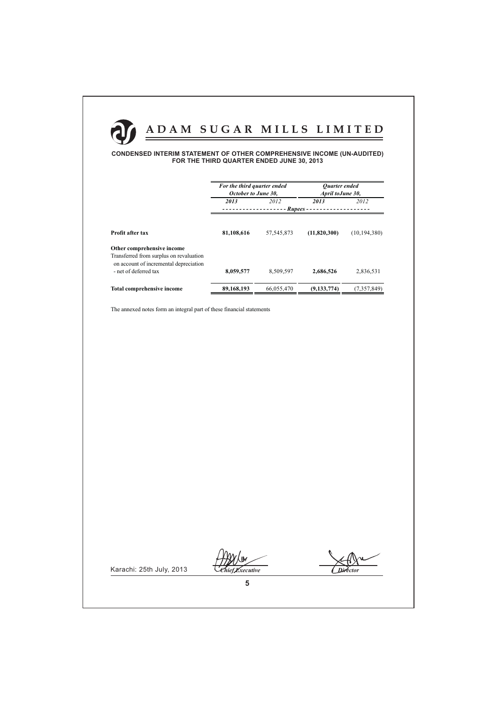

### **CONDENSED INTERIM STATEMENT OF OTHER COMPREHENSIVE INCOME (UN-AUDITED)** FOR THE THIRD QUARTER ENDED JUNE 30, 2013

|                                                                                                            | For the third quarter ended<br>October to June 30, |              | Ouarter ended<br>April to June 30, |                |  |  |
|------------------------------------------------------------------------------------------------------------|----------------------------------------------------|--------------|------------------------------------|----------------|--|--|
|                                                                                                            | 2013                                               | 2012         | 2013                               | 2012           |  |  |
|                                                                                                            | Rupees                                             |              |                                    |                |  |  |
| Profit after tax                                                                                           | 81,108,616                                         | 57, 545, 873 | (11,820,300)                       | (10, 194, 380) |  |  |
| Other comprehensive income                                                                                 |                                                    |              |                                    |                |  |  |
| Transferred from surplus on revaluation<br>on account of incremental depreciation<br>- net of deferred tax | 8,059,577                                          | 8,509,597    | 2,686,526                          | 2,836,531      |  |  |
| <b>Total comprehensive income</b>                                                                          | 89,168,193                                         | 66,055,470   | (9, 133, 774)                      | (7,357,849)    |  |  |

The annexed notes form an integral part of these financial statements

Chief Executive

**Director**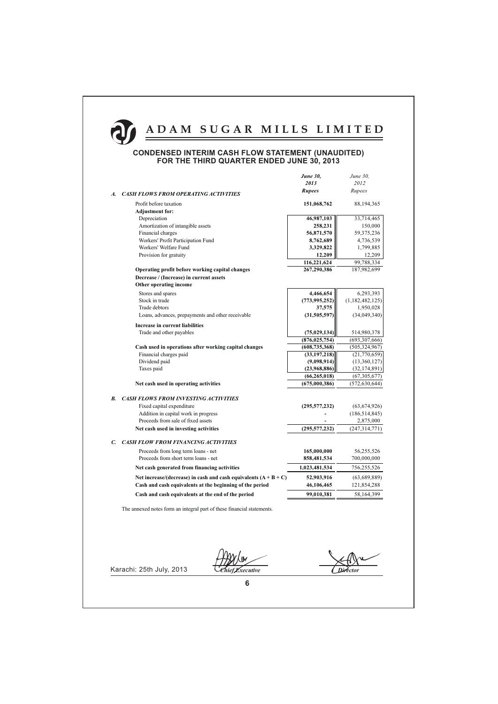

### **CONDENSED INTERIM CASH FLOW STATEMENT (UNAUDITED)** FOR THE THIRD QUARTER ENDED JUNE 30, 2013

|                                                                             | 2013                       | 2012                      |
|-----------------------------------------------------------------------------|----------------------------|---------------------------|
|                                                                             |                            |                           |
| <b>CASH FLOWS FROM OPERATING ACTIVITIES</b><br>A.                           | <b>Rupees</b>              | Rupees                    |
| Profit before taxation                                                      | 151,068,762                | 88,194,365                |
| <b>Adjustment for:</b>                                                      |                            |                           |
| Depreciation                                                                | 46,987,103                 | 33,714,465                |
| Amortization of intangible assets                                           | 258,231                    | 150,000                   |
| Financial charges                                                           | 56,871,570                 | 59,375,236                |
| Workers' Profit Participation Fund                                          | 8,762,689                  | 4,736,539                 |
| Workers' Welfare Fund                                                       | 3,329,822                  | 1,799,885                 |
| Provision for gratuity                                                      | 12,209                     | 12,209                    |
|                                                                             | 116,221,624                | 99,788,334                |
| Operating profit before working capital changes                             | 267,290,386                | 187,982,699               |
| Decrease / (Increase) in current assets                                     |                            |                           |
| Other operating income                                                      |                            |                           |
| Stores and spares                                                           | 4,466,654                  | 6,293,393                 |
| Stock in trade                                                              | (773, 995, 252)            | (1,182,482,125)           |
| Trade debtors                                                               | 37,575                     | 1,950,028                 |
| Loans, advances, prepayments and other receivable                           | (31,505,597)               | (34,049,340)              |
| Increase in current liabilities                                             |                            |                           |
| Trade and other payables                                                    | (75, 029, 134)             | 514,980,378               |
|                                                                             | (876, 025, 754)            | (693, 307, 666)           |
| Cash used in operations after working capital changes                       | (608, 735, 368)            | (505,324,967)             |
| Financial charges paid                                                      | (33, 197, 218)             | (21,770,659)              |
| Dividend paid                                                               | (9,098,914)                | (13,360,127)              |
| Taxes paid                                                                  | (23,968,886)               | (32, 174, 891)            |
|                                                                             | (66, 265, 018)             | (67, 305, 677)            |
| Net cash used in operating activities                                       | (675,000,386)              | (572, 630, 644)           |
| <b>CASH FLOWS FROM INVESTING ACTIVITIES</b><br>В.                           |                            |                           |
| Fixed capital expenditure                                                   | (295, 577, 232)            | (63, 674, 926)            |
| Addition in capital work in progress                                        |                            | (186, 514, 845)           |
| Proceeds from sale of fixed assets                                          |                            | 2,875,000                 |
| Net cash used in investing activities                                       | (295, 577, 232)            | (247, 314, 771)           |
| <b>CASH FLOW FROM FINANCING ACTIVITIES</b><br>C.                            |                            |                           |
|                                                                             |                            |                           |
| Proceeds from long term loans - net<br>Proceeds from short term loans - net | 165,000,000<br>858,481,534 | 56,255,526<br>700,000,000 |
|                                                                             |                            |                           |
| Net cash generated from financing activities                                | 1,023,481,534              | 756,255,526               |
| Net increase/(decrease) in cash and cash equivalents $(A + B + C)$          | 52,903,916                 | (63,689,889)              |
| Cash and cash equivalents at the beginning of the period                    | 46,106,465                 | 121,854,288               |
| Cash and cash equivalents at the end of the period                          | 99,010,381                 | 58,164,399                |

The annexed notes form an integral part of these financial statements.

Chief Executive

**Director**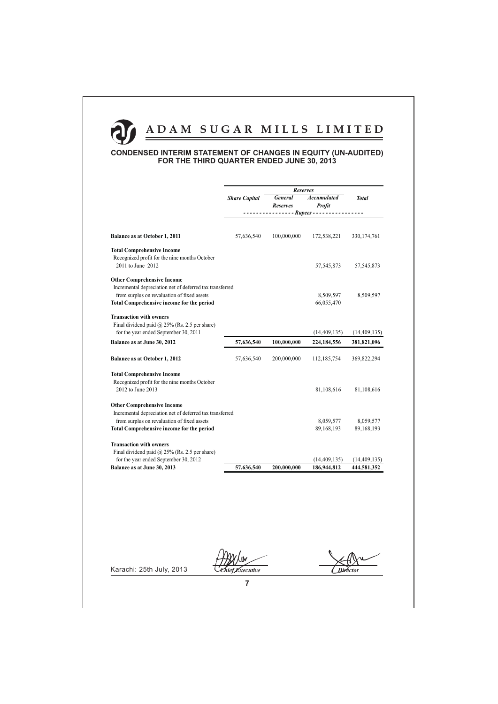## **CONDENSED INTERIM STATEMENT OF CHANGES IN EQUITY (UN-AUDITED)** FOR THE THIRD QUARTER ENDED JUNE 30, 2013

|                                                                                                         | <b>Reserves</b>      |                            |                                     |                |
|---------------------------------------------------------------------------------------------------------|----------------------|----------------------------|-------------------------------------|----------------|
|                                                                                                         | <b>Share Capital</b> | General<br><b>Reserves</b> | <b>Accumulated</b><br><b>Profit</b> | <b>Total</b>   |
|                                                                                                         |                      | $---$ Rupees - - -         |                                     |                |
|                                                                                                         |                      |                            |                                     |                |
| Balance as at October 1, 2011                                                                           | 57,636,540           | 100,000,000                | 172,538,221                         | 330, 174, 761  |
| <b>Total Comprehensive Income</b><br>Recognized profit for the nine months October<br>2011 to June 2012 |                      |                            | 57, 545, 873                        | 57,545,873     |
| <b>Other Comprehensive Income</b>                                                                       |                      |                            |                                     |                |
| Incremental depreciation net of deferred tax transferred                                                |                      |                            |                                     |                |
| from surplus on revaluation of fixed assets                                                             |                      |                            | 8,509,597                           | 8,509,597      |
| <b>Total Comprehensive income for the period</b>                                                        |                      |                            | 66,055,470                          |                |
| <b>Transaction with owners</b>                                                                          |                      |                            |                                     |                |
| Final dividend paid $\omega$ 25% (Rs. 2.5 per share)                                                    |                      |                            |                                     |                |
| for the year ended September 30, 2011                                                                   |                      |                            | (14, 409, 135)                      | (14, 409, 135) |
| Balance as at June 30, 2012                                                                             | 57,636,540           | 100,000,000                | 224,184,556                         | 381,821,096    |
| Balance as at October 1, 2012                                                                           | 57,636,540           | 200,000,000                | 112,185,754                         | 369,822,294    |
| <b>Total Comprehensive Income</b>                                                                       |                      |                            |                                     |                |
| Recognized profit for the nine months October                                                           |                      |                            |                                     |                |
| 2012 to June 2013                                                                                       |                      |                            | 81,108,616                          | 81,108,616     |
| <b>Other Comprehensive Income</b>                                                                       |                      |                            |                                     |                |
| Incremental depreciation net of deferred tax transferred                                                |                      |                            |                                     |                |
| from surplus on revaluation of fixed assets                                                             |                      |                            | 8,059,577                           | 8,059,577      |
| <b>Total Comprehensive income for the period</b>                                                        |                      |                            | 89,168,193                          | 89,168,193     |
| <b>Transaction with owners</b>                                                                          |                      |                            |                                     |                |
| Final dividend paid $@$ 25% (Rs. 2.5 per share)                                                         |                      |                            |                                     |                |
| for the year ended September 30, 2012                                                                   |                      |                            | (14, 409, 135)                      | (14, 409, 135) |
| Balance as at June 30, 2013                                                                             | 57,636,540           | 200,000,000                | 186,944,812                         | 444,581,352    |

Chief Executive

**Director**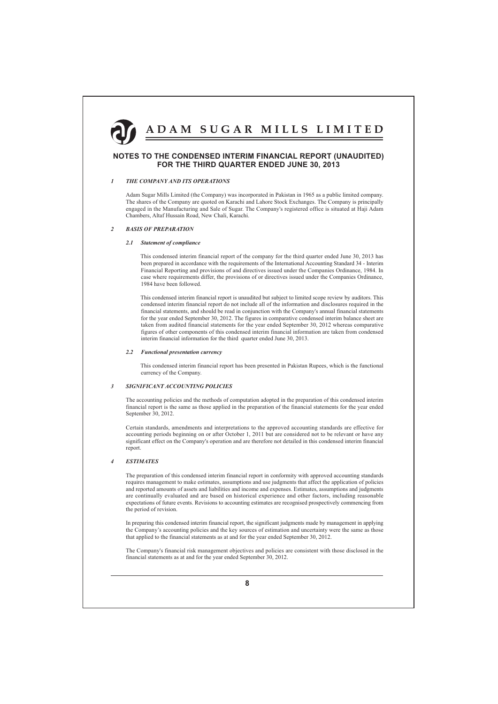

### NOTES TO THE CONDENSED INTERIM FINANCIAL REPORT (UNAUDITED) FOR THE THIRD QUARTER ENDED JUNE 30, 2013

#### $\bar{l}$ THE COMPANY AND ITS OPERATIONS

Adam Sugar Mills Limited (the Company) was incorporated in Pakistan in 1965 as a public limited company. The shares of the Company are quoted on Karachi and Lahore Stock Exchanges. The Company is principally engaged in the Manufacturing and Sale of Sugar. The Company's registered office is situated at Haji Adam Chambers, Altaf Hussain Road, New Chali, Karachi.

#### $\overline{c}$ **BASIS OF PREPARATION**

### 2.1 Statement of compliance

This condensed interim financial report of the company for the third quarter ended June 30, 2013 has been prepared in accordance with the requirements of the International Accounting Standard 34 - Interim Financial Reporting and provisions of and directives issued under the Companies Ordinance, 1984. In case where requirements differ, the provisions of or directives issued under the Companies Ordinance, 1984 have been followed.

This condensed interim financial report is unaudited but subject to limited scope review by auditors. This condensed interim financial report do not include all of the information and disclosures required in the financial statements, and should be read in conjunction with the Company's annual financial statements for the year ended September 30, 2012. The figures in comparative condensed interim balance sheet are taken from audited financial statements for the year ended September 30, 2012 whereas comparative figures of other components of this condensed interim financial information are taken from condensed interim financial information for the third quarter ended June 30, 2013.

#### $2.2$ **Functional presentation currency**

This condensed interim financial report has been presented in Pakistan Rupees, which is the functional currency of the Company.

#### $\overline{\mathbf{3}}$ **SIGNIFICANT ACCOUNTING POLICIES**

The accounting policies and the methods of computation adopted in the preparation of this condensed interim financial report is the same as those applied in the preparation of the financial statements for the year ended September 30, 2012.

Certain standards, amendments and interpretations to the approved accounting standards are effective for accounting periods beginning on or after October 1, 2011 but are considered not to be relevant or have any significant effect on the Company's operation and are therefore not detailed in this condensed interim financial report.

#### $\overline{A}$ **ESTIMATES**

The preparation of this condensed interim financial report in conformity with approved accounting standards requires management to make estimates, assumptions and use judgments that affect the application of policies and reported amounts of assets and liabilities and income and expenses. Estimates, assumptions and judgments are continually evaluated and are based on historical experience and other factors, including reasonable expectations of future events. Revisions to accounting estimates are recognised prospectively commencing from the period of revision.

In preparing this condensed interim financial report, the significant judgments made by management in applying the Company's accounting policies and the key sources of estimation and uncertainty were the same as those that applied to the financial statements as at and for the year ended September 30, 2012.

The Company's financial risk management objectives and policies are consistent with those disclosed in the financial statements as at and for the year ended September 30, 2012.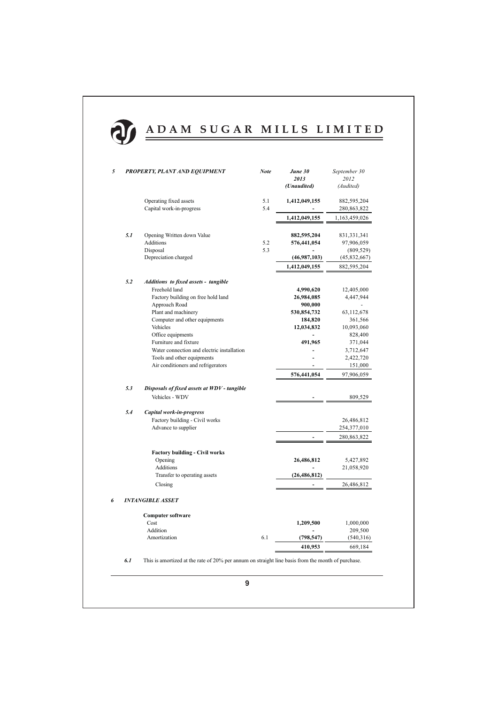

| 5 |     | PROPERTY, PLANT AND EQUIPMENT                                                                                                                                                    | <b>Note</b> | June 30<br>2013<br>(Unaudited)                                             | September 30<br>2012<br>(Audited)                                     |
|---|-----|----------------------------------------------------------------------------------------------------------------------------------------------------------------------------------|-------------|----------------------------------------------------------------------------|-----------------------------------------------------------------------|
|   |     | Operating fixed assets<br>Capital work-in-progress                                                                                                                               | 5.1<br>5.4  | 1,412,049,155                                                              | 882,595,204<br>280, 863, 822                                          |
|   |     |                                                                                                                                                                                  |             | 1,412,049,155                                                              | 1,163,459,026                                                         |
|   | 5.1 | Opening Written down Value<br><b>Additions</b><br>Disposal<br>Depreciation charged                                                                                               | 5.2<br>5.3  | 882,595,204<br>576,441,054<br>(46,987,103)                                 | 831, 331, 341<br>97,906,059<br>(809, 529)<br>(45,832,667)             |
|   |     |                                                                                                                                                                                  |             | 1,412,049,155                                                              | 882,595,204                                                           |
|   | 5.2 | Additions to fixed assets - tangible<br>Freehold land<br>Factory building on free hold land<br>Approach Road<br>Plant and machinery<br>Computer and other equipments<br>Vehicles |             | 4,990,620<br>26,984,085<br>900,000<br>530,854,732<br>184,820<br>12,034,832 | 12,405,000<br>4,447,944<br>63,112,678<br>361,566<br>10,093,060        |
|   |     | Office equipments<br>Furniture and fixture<br>Water connection and electric installation<br>Tools and other equipments<br>Air conditioners and refrigerators                     |             | 491,965<br>576,441,054                                                     | 828,400<br>371,044<br>3,712,647<br>2,422,720<br>151,000<br>97,906,059 |
|   | 5.3 | Disposals of fixed assets at WDV - tangible<br>Vehicles - WDV                                                                                                                    |             |                                                                            | 809,529                                                               |
|   | 5.4 | Capital work-in-progress<br>Factory building - Civil works<br>Advance to supplier                                                                                                |             |                                                                            | 26,486,812<br>254,377,010<br>280,863,822                              |
|   |     | <b>Factory building - Civil works</b><br>Opening<br>Additions<br>Transfer to operating assets                                                                                    |             | 26,486,812<br>(26, 486, 812)                                               | 5,427,892<br>21,058,920                                               |
|   |     | Closing                                                                                                                                                                          |             |                                                                            | 26,486,812                                                            |
| 6 |     | <b>INTANGIBLE ASSET</b>                                                                                                                                                          |             |                                                                            |                                                                       |
|   |     | <b>Computer software</b><br>Cost                                                                                                                                                 |             | 1,209,500                                                                  | 1,000,000                                                             |
|   |     | Addition<br>Amortization                                                                                                                                                         | 6.1         | (798, 547)                                                                 | 209,500<br>(540,316)                                                  |
|   |     |                                                                                                                                                                                  |             | 410,953                                                                    | 669,184                                                               |

 $6.1$ This is amortized at the rate of 20% per annum on straight line basis from the month of purchase.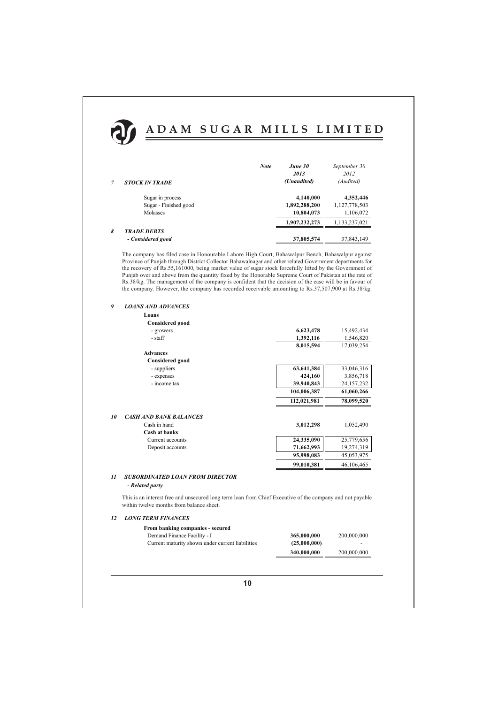

|   |                       | <b>Note</b> | June 30       | September 30  |
|---|-----------------------|-------------|---------------|---------------|
|   |                       |             | 2013          | 2012          |
|   | <b>STOCK IN TRADE</b> |             | (Unaudited)   | (Audited)     |
|   | Sugar in process      |             | 4,140,000     | 4,352,446     |
|   | Sugar - Finished good |             | 1,892,288,200 | 1,127,778,503 |
|   | Molasses              |             | 10,804,073    | 1,106,072     |
|   |                       |             | 1.907.232.273 | 1,133,237,021 |
| 8 | <b>TRADE DEBTS</b>    |             |               |               |
|   | - Considered good     |             | 37,805,574    | 37,843,149    |

The company has filed case in Honourable Lahore High Court, Bahawalpur Bench, Bahawalpur against Province of Punjab through District Collector Bahawalnagar and other related Government departments for the recovery of Rs.55,161000, being market value of sugar stock forcefully lifted by the Government of Punjab over and above from the quantity fixed by the Honorable Supreme Court of Pakistan at the rate of Rs.38/kg. The management of the company is confident that the decision of the case will be in favour of the company. However, the company has recorded receivable amounting to Rs.37,507,900 at Rs.38/kg.

#### $\boldsymbol{g}$ **LOANS AND ADVANCES**

| Loans                         |             |            |
|-------------------------------|-------------|------------|
| <b>Considered good</b>        |             |            |
| - growers                     | 6,623,478   | 15,492,434 |
| - staff                       | 1,392,116   | 1,546,820  |
|                               | 8,015,594   | 17,039,254 |
| <b>Advances</b>               |             |            |
| <b>Considered good</b>        |             |            |
| - suppliers                   | 63,641,384  | 33,046,316 |
| - expenses                    | 424,160     | 3,856,718  |
| - income tax                  | 39,940,843  | 24,157,232 |
|                               | 104,006,387 | 61,060,266 |
|                               | 112,021,981 | 78,099,520 |
| <b>CASH AND BANK BALANCES</b> |             |            |
| Cash in hand                  | 3,012,298   | 1,052,490  |
| Cash at banks                 |             |            |
| Current accounts              | 24,335,090  | 25,779,656 |
| Deposit accounts              | 71,662,993  | 19,274,319 |
|                               | 95,998,083  | 45,053,975 |
|                               | 99,010,381  | 46,106,465 |
|                               |             |            |

### 11 SUBORDINATED LOAN FROM DIRECTOR

### - Related party

10

This is an interest free and unsecured long term loan from Chief Executive of the company and not payable within twelve months from balance sheet.

### **12 LONG TERM FINANCES**

| From banking companies - secured                 |              |             |
|--------------------------------------------------|--------------|-------------|
| Demand Finance Facility - I                      | 365,000,000  | 200,000,000 |
| Current maturity shown under current liabilities | (25,000,000) | -           |
|                                                  | 340,000,000  | 200,000,000 |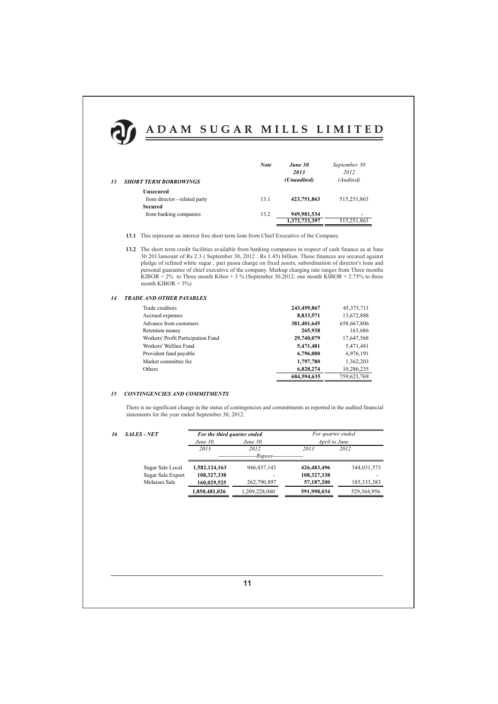

| <b>SHORT TERM BORROWINGS</b>  | <b>Note</b> | June 30<br>2013<br>(Unaudited) | September 30<br>2012<br>(Audited) |
|-------------------------------|-------------|--------------------------------|-----------------------------------|
| Unsecured                     |             |                                |                                   |
| from director - related party | 13.1        | 423,751,863                    | 515,251,863                       |
| Secured                       |             |                                |                                   |
| from banking companies        | 13.2        | 949,981,534                    | ۰                                 |
|                               |             | 1,373,733,397                  | 515,251,863                       |

- 13.1 This represent an interest free short term loan from Chief Executive of the Company.
- 13.2 The short term credit facilities available from banking companies in respect of cash finance as at June 30 2013 amount of Rs 2.3 (September 30, 2012 : Rs 1.45) billion. These finances are secured against pledge of refined white sugar, pari passu charge on fixed assets, subordination of director's loan and personal guarantee of chief executive of the company. Markup charging rate ranges from Three months KIBOR + 2% to Three month Kibor + 3 % (September 30,2012: one month KIBOR + 2.75% to three month KIBOR +  $3\%$ )

#### **TRADE AND OTHER PAYABLES**  $14$

 $13$ 

| Trade creditors                    | 243,459,867 | 45, 375, 711 |
|------------------------------------|-------------|--------------|
| Accrued expenses                   | 8,833,571   | 13,672,888   |
| Advance from customers             | 381,401,645 | 658,667,806  |
| Retention money                    | 265,938     | 163,686      |
| Workers' Profit Participation Fund | 29,740,079  | 17,647,568   |
| Workers' Welfare Fund              | 5,471,481   | 5,471,481    |
| Provident fund payable             | 6,796,000   | 6,976,191    |
| Market committee fee               | 1,797,780   | 1,362,203    |
| Others                             | 6.828.274   | 10.286.235   |
|                                    | 684.594.635 | 759,623,769  |

#### **CONTINGENCIES AND COMMITMENTS**  $15$

There is no significant change in the status of contingencies and commitments as reported in the audited financial statements for the year ended September 30, 2012.

#### $16$  $SALES - N$

| - NET             | For the third quarter ended |               | For quarter ended |               |  |  |  |
|-------------------|-----------------------------|---------------|-------------------|---------------|--|--|--|
|                   | June 30,                    | June 30,      | April to June     |               |  |  |  |
|                   | 2013                        | 2012          | 2013              | 2012          |  |  |  |
|                   | -Rupees-                    |               |                   |               |  |  |  |
| Sugar Sale Local  | 1,582,124,163               | 946, 437, 143 | 426, 483, 496     | 344,031,573   |  |  |  |
| Sugar Sale Export | 108,327,338                 |               | 108,327,338       |               |  |  |  |
| Molasses Sale     | 160,029,525                 | 262,790,897   | 57,187,200        | 185, 333, 383 |  |  |  |
|                   | 1,850,481,026               | 1,209,228,040 | 591,998,034       | 529,364,956   |  |  |  |